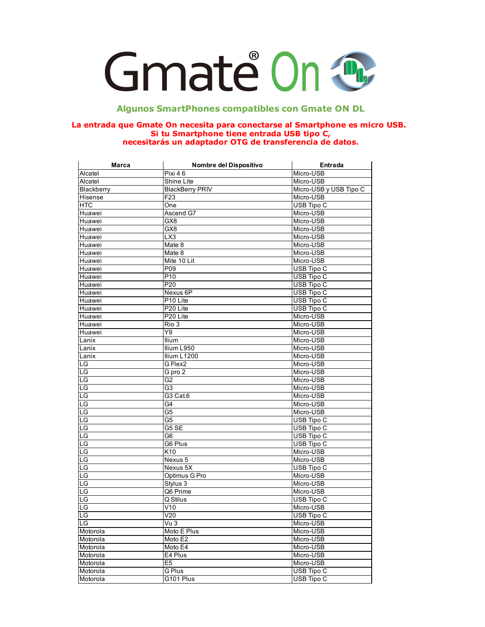

## **Algunos SmartPhones compatibles con Gmate ON DL**

## **La entrada que Gmate On necesita para conectarse al Smartphone es micro USB. Si tu Smartphone tiene entrada USB tipo C, necesitarás un adaptador OTG de transferencia de datos.**

| Marca      | Nombre del Dispositivo | Entrada                |
|------------|------------------------|------------------------|
| Alcatel    | Pixi 46                | Micro-USB              |
| Alcatel    | Shine Lite             | Micro-USB              |
| Blackberry | <b>BlackBerry PRIV</b> | Micro-USB y USB Tipo C |
| Hisense    | F <sub>23</sub>        | Micro-USB              |
| <b>HTC</b> | One                    | USB Tipo C             |
| Huawei     | Ascend G7              | Micro-USB              |
| Huawei     | GX8                    | Micro-USB              |
| Huawei     | GX8                    | Micro-USB              |
| Huawei     | LX3                    | Micro-USB              |
| Huawei     | Mate 8                 | Micro-USB              |
| Huawei     | Mate 8                 | Micro-USB              |
| Huawei     | Mite 10 Lit            | Micro-USB              |
| Huawei     | P09                    | USB Tipo C             |
| Huawei     | P <sub>10</sub>        | USB Tipo C             |
| Huawei     | P20                    | USB Tipo C             |
| Huawei     | Nexus 6P               | USB Tipo C             |
| Huawei     | P <sub>10</sub> Lite   | <b>USB Tipo C</b>      |
| Huawei     | P20 Lite               | USB Tipo C             |
| Huawei     | P <sub>20</sub> Lite   | Micro-USB              |
| Huawei     | Rio 3                  | Micro-USB              |
| Huawei     | Y9                     | Micro-USB              |
| Lanix      | llium                  | Micro-USB              |
| Lanix      | Ilium L950             | Micro-USB              |
| Lanix      | Ilium L1200            | Micro-USB              |
| LG         | G Flex2                | Micro-USB              |
| LG         | $G$ pro $2$            | Micro-USB              |
| LG         | G <sub>2</sub>         | Micro-USB              |
| LG         | G <sub>3</sub>         | Micro-USB              |
| LG         | G3 Cat.6               | Micro-USB              |
| LG         | G4                     | Micro-USB              |
| LG         | G5                     | Micro-USB              |
| LG         | G5                     | <b>USB Tipo C</b>      |
| LG         | G5 SE                  | USB Tipo C             |
| LG         | G <sub>6</sub>         | USB Tipo C             |
| LG         | G6 Plus                | <b>USB Tipo C</b>      |
| LG         | $\overline{K}10$       | Micro-USB              |
| LG         | Nexus 5                | Micro-USB              |
| LG         | Nexus 5X               | USB Tipo C             |
| LG         | Optimus G Pro          | Micro-USB              |
| LG         | Stylus 3               | Micro-USB              |
| LG         | Q6 Prime               | Micro-USB              |
| LG         | Q Stilus               | <b>USB Tipo C</b>      |
| LG         | V10                    | Micro-USB              |
| LG         | V20                    | USB Tipo C             |
| LG         | Vu 3                   | Micro-USB              |
| Motorola   | Moto E Plus            | Micro-USB              |
| Motorola   | Moto E2                | Micro-USB              |
|            |                        | Micro-USB              |
| Motorola   | Moto E4                | Micro-USB              |
| Motorola   | E4 Plus                |                        |
| Motorola   | E <sub>5</sub>         | Micro-USB              |
| Motorola   | G Plus                 | USB Tipo C             |
| Motorola   | G101 Plus              | USB Tipo C             |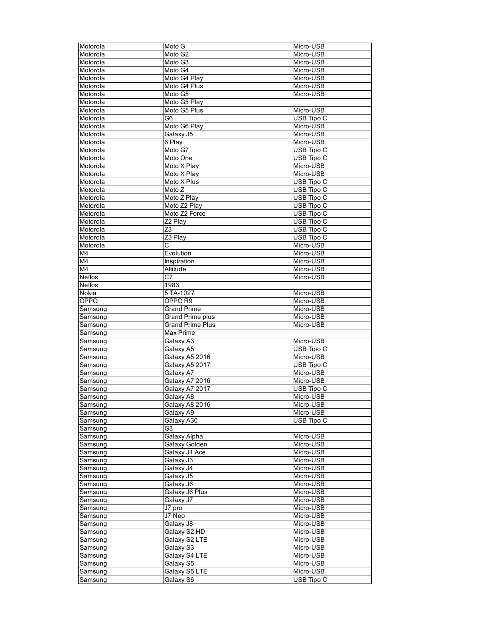| Motorola       | Moto G                     | Micro-USB         |
|----------------|----------------------------|-------------------|
| Motorola       | Moto G2                    | Micro-USB         |
| Motorola       | Moto G3                    | Micro-USB         |
| Motorola       | Moto G4                    | Micro-USB         |
| Motorola       | Moto G4 Play               | Micro-USB         |
| Motorola       | Moto G4 Plus               | Micro-USB         |
| Motorola       | Moto G5                    | Micro-USB         |
| Motorola       | Moto G5 Play               |                   |
| Motorola       | Moto G5 Plus               | Micro-USB         |
| Motorola       | G <sub>6</sub>             | USB Tipo C        |
| Motorola       | Moto G6 Play               | Micro-USB         |
| Motorola       | Galaxy J5                  | Micro-USB         |
| Motorola       | 6 Play                     | Micro-USB         |
| Motorola       | Moto G7                    | <b>USB Tipo C</b> |
| Motorola       | Moto One                   | USB Tipo C        |
| Motorola       | Moto X Play                | Micro-USB         |
| Motorola       | Moto X Play                | Micro-USB         |
| Motorola       | Moto X Plus                | USB Tipo C        |
| Motorola       | $\overline{\text{Moto}}$ Z | USB Tipo C        |
| Motorola       | Moto Z Play                | USB Tipo C        |
| Motorola       | Moto Z2 Play               | USB Tipo C        |
| Motorola       | Moto Z2 Force              | USB Tipo C        |
| Motorola       | Z2 Plav                    | <b>USB Tipo C</b> |
| Motorola       | Z3                         | USB Tipo C        |
| Motorola       | $23$ Play                  | USB Tipo C        |
| Motorola       | С                          | Micro-USB         |
| M4             | Evolution                  | Micro-USB         |
| M4             | Inspiration                | Micro-USB         |
| M <sub>4</sub> | Attitude                   | Micro-USB         |
| Neffos         | C7                         | Micro-USB         |
| <b>Neffos</b>  | 1983                       |                   |
| Nokia          | 5 TA-1027                  | Micro-USB         |
| OPPO           | OPPO <sub>R9</sub>         | Micro-USB         |
| Samsung        | <b>Grand Prime</b>         | Micro-USB         |
| Samsung        | Grand Prime plus           | Micro-USB         |
| Samsung        | <b>Grand Prime Plus</b>    | Micro-USB         |
| Samsung        | Max Prime                  |                   |
| Samsung        | Galaxy A3                  | Micro-USB         |
| Samsung        | Galaxy A5                  | USB Tipo C        |
| Samsung        | Galaxy A5 2016             | Micro-USB         |
| Samsung        | Galaxy A5 2017             | USB Tipo C        |
| Samsung        | Galaxy A7                  | Micro-USB         |
| Samsung        | Galaxy A7 2016             | Micro-USB         |
| Samsung        | Galaxy A7 2017             | USB Tipo C        |
| Samsung        | Galaxy A8                  | Micro-USB         |
| Samsung        | Galaxy A8 2016             | Micro-USB         |
| Samsung        | Galaxy A9                  | Micro-USB         |
| Samsung        | Galaxy A30                 | USB Tipo C        |
| Samsung        | G3                         |                   |
| Samsung        | Galaxy Alpha               | Micro-USB         |
| Samsung        | Galaxy Golden              | Micro-USB         |
| Samsung        | Galaxy J1 Ace              | Micro-USB         |
| Samsung        | Galaxy J3                  | Micro-USB         |
| Samsung        | Galaxy J4                  | Micro-USB         |
| Samsung        | Galaxy J5                  | Micro-USB         |
| Samsung        | Galaxy J6                  | Micro-USB         |
| Samsung        | Galaxy J6 Plus             | Micro-USB         |
| Samsung        | Galaxy J7                  | Micro-USB         |
| Samsung        | J7 pro                     | Micro-USB         |
| Samsung        | J7 Neo                     | Micro-USB         |
| Samsung        | Galaxy J8                  | Micro-USB         |
| Samsung        | Galaxy S2 HD               | Micro-USB         |
| Samsung        | Galaxy S2 LTE              | Micro-USB         |
| Samsung        | Galaxy S3                  | Micro-USB         |
| Samsung        | Galaxy S4 LTE              | Micro-USB         |
| Samsung        | Galaxy S5                  | Micro-USB         |
| Samsung        | Galaxy S5 LTE              | Micro-USB         |
| Samsung        | Galaxy S6                  | USB Tipo C        |